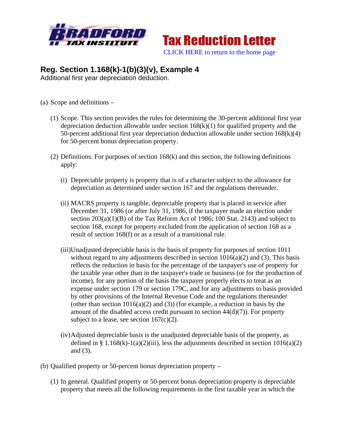



## **Reg. Section 1.168(k)-1(b)(3)(v), Example 4**

Additional first year depreciation deduction.

- (a) Scope and definitions
	- (1) Scope. This section provides the rules for determining the 30-percent additional first year depreciation deduction allowable under section  $168(k)(1)$  for qualified property and the 50-percent additional first year depreciation deduction allowable under section  $168(k)(4)$ for 50-percent bonus depreciation property.
	- (2) Definitions. For purposes of section 168(k) and this section, the following definitions apply:
		- (i) Depreciable property is property that is of a character subject to the allowance for depreciation as determined under section 167 and the regulations thereunder.
		- (ii) MACRS property is tangible, depreciable property that is placed in service after December 31, 1986 (or after July 31, 1986, if the taxpayer made an election under section  $203(a)(1)(B)$  of the Tax Reform Act of 1986; 100 Stat. 2143) and subject to section 168, except for property excluded from the application of section 168 as a result of section 168(f) or as a result of a transitional rule.
		- (iii)Unadjusted depreciable basis is the basis of property for purposes of section 1011 without regard to any adjustments described in section  $1016(a)(2)$  and (3). This basis reflects the reduction in basis for the percentage of the taxpayer's use of property for the taxable year other than in the taxpayer's trade or business (or for the production of income), for any portion of the basis the taxpayer properly elects to treat as an expense under section 179 or section 179C, and for any adjustments to basis provided by other provisions of the Internal Revenue Code and the regulations thereunder (other than section  $1016(a)(2)$  and (3)) (for example, a reduction in basis by the amount of the disabled access credit pursuant to section  $44(d)(7)$ ). For property subject to a lease, see section  $167(c)(2)$ .
		- (iv)Adjusted depreciable basis is the unadjusted depreciable basis of the property, as defined in §  $1.168(k)-1(a)(2)(iii)$ , less the adjustments described in section  $1016(a)(2)$ and (3).
- (b) Qualified property or 50-percent bonus depreciation property
	- (1) In general. Qualified property or 50-percent bonus depreciation property is depreciable property that meets all the following requirements in the first taxable year in which the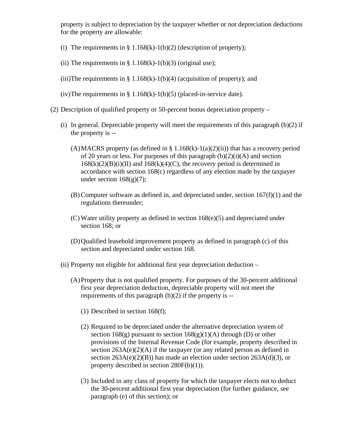property is subject to depreciation by the taxpayer whether or not depreciation deductions for the property are allowable:

- (i) The requirements in  $\S 1.168(k)-1(b)(2)$  (description of property);
- (ii) The requirements in  $\S 1.168(k)-1(b)(3)$  (original use);
- (iii)The requirements in § 1.168(k)-1(b)(4) (acquisition of property); and
- (iv)The requirements in  $\S 1.168(k)-1(b)(5)$  (placed-in-service date).
- (2) Description of qualified property or 50-percent bonus depreciation property
	- (i) In general. Depreciable property will meet the requirements of this paragraph (b)(2) if the property is --
		- (A) MACRS property (as defined in § 1.168(k)-1(a)(2)(ii)) that has a recovery period of 20 years or less. For purposes of this paragraph  $(b)(2)(i)(A)$  and section  $168(k)(2)(B)(i)(II)$  and  $168(k)(4)(C)$ , the recovery period is determined in accordance with section 168(c) regardless of any election made by the taxpayer under section  $168(g)(7)$ ;
		- (B) Computer software as defined in, and depreciated under, section 167(f)(1) and the regulations thereunder;
		- (C) Water utility property as defined in section 168(e)(5) and depreciated under section 168; or
		- (D)Qualified leasehold improvement property as defined in paragraph (c) of this section and depreciated under section 168.
	- (ii) Property not eligible for additional first year depreciation deduction
		- (A)Property that is not qualified property. For purposes of the 30-percent additional first year depreciation deduction, depreciable property will not meet the requirements of this paragraph (b)(2) if the property is --
			- (1) Described in section 168(f);
			- (2) Required to be depreciated under the alternative depreciation system of section  $168(g)$  pursuant to section  $168(g)(1)(A)$  through (D) or other provisions of the Internal Revenue Code (for example, property described in section  $263A(e)(2)(A)$  if the taxpayer (or any related person as defined in section  $263A(e)(2)(B)$ ) has made an election under section  $263A(d)(3)$ , or property described in section 280F(b)(1)).
			- (3) Included in any class of property for which the taxpayer elects not to deduct the 30-percent additional first year depreciation (for further guidance, see paragraph (e) of this section); or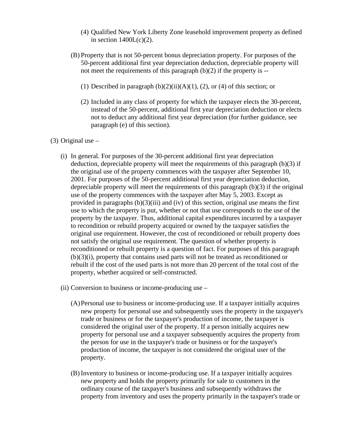- (4) Qualified New York Liberty Zone leasehold improvement property as defined in section  $1400L(c)(2)$ .
- (B) Property that is not 50-percent bonus depreciation property. For purposes of the 50-percent additional first year depreciation deduction, depreciable property will not meet the requirements of this paragraph  $(b)(2)$  if the property is --
	- (1) Described in paragraph  $(b)(2)(ii)(A)(1)$ ,  $(2)$ , or  $(4)$  of this section; or
	- (2) Included in any class of property for which the taxpayer elects the 30-percent, instead of the 50-percent, additional first year depreciation deduction or elects not to deduct any additional first year depreciation (for further guidance, see paragraph (e) of this section).

## $(3)$  Original use  $-$

- (i) In general. For purposes of the 30-percent additional first year depreciation deduction, depreciable property will meet the requirements of this paragraph (b)(3) if the original use of the property commences with the taxpayer after September 10, 2001. For purposes of the 50-percent additional first year depreciation deduction, depreciable property will meet the requirements of this paragraph (b)(3) if the original use of the property commences with the taxpayer after May 5, 2003. Except as provided in paragraphs  $(b)(3)(iii)$  and (iv) of this section, original use means the first use to which the property is put, whether or not that use corresponds to the use of the property by the taxpayer. Thus, additional capital expenditures incurred by a taxpayer to recondition or rebuild property acquired or owned by the taxpayer satisfies the original use requirement. However, the cost of reconditioned or rebuilt property does not satisfy the original use requirement. The question of whether property is reconditioned or rebuilt property is a question of fact. For purposes of this paragraph (b)(3)(i), property that contains used parts will not be treated as reconditioned or rebuilt if the cost of the used parts is not more than 20 percent of the total cost of the property, whether acquired or self-constructed.
- (ii) Conversion to business or income-producing use
	- (A)Personal use to business or income-producing use. If a taxpayer initially acquires new property for personal use and subsequently uses the property in the taxpayer's trade or business or for the taxpayer's production of income, the taxpayer is considered the original user of the property. If a person initially acquires new property for personal use and a taxpayer subsequently acquires the property from the person for use in the taxpayer's trade or business or for the taxpayer's production of income, the taxpayer is not considered the original user of the property.
	- (B) Inventory to business or income-producing use. If a taxpayer initially acquires new property and holds the property primarily for sale to customers in the ordinary course of the taxpayer's business and subsequently withdraws the property from inventory and uses the property primarily in the taxpayer's trade or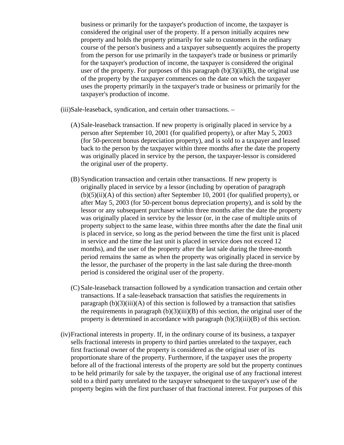business or primarily for the taxpayer's production of income, the taxpayer is considered the original user of the property. If a person initially acquires new property and holds the property primarily for sale to customers in the ordinary course of the person's business and a taxpayer subsequently acquires the property from the person for use primarily in the taxpayer's trade or business or primarily for the taxpayer's production of income, the taxpayer is considered the original user of the property. For purposes of this paragraph  $(b)(3)(ii)(B)$ , the original use of the property by the taxpayer commences on the date on which the taxpayer uses the property primarily in the taxpayer's trade or business or primarily for the taxpayer's production of income.

(iii)Sale-leaseback, syndication, and certain other transactions. –

- (A)Sale-leaseback transaction. If new property is originally placed in service by a person after September 10, 2001 (for qualified property), or after May 5, 2003 (for 50-percent bonus depreciation property), and is sold to a taxpayer and leased back to the person by the taxpayer within three months after the date the property was originally placed in service by the person, the taxpayer-lessor is considered the original user of the property.
- (B) Syndication transaction and certain other transactions. If new property is originally placed in service by a lessor (including by operation of paragraph  $(b)(5)(ii)(A)$  of this section) after September 10, 2001 (for qualified property), or after May 5, 2003 (for 50-percent bonus depreciation property), and is sold by the lessor or any subsequent purchaser within three months after the date the property was originally placed in service by the lessor (or, in the case of multiple units of property subject to the same lease, within three months after the date the final unit is placed in service, so long as the period between the time the first unit is placed in service and the time the last unit is placed in service does not exceed 12 months), and the user of the property after the last sale during the three-month period remains the same as when the property was originally placed in service by the lessor, the purchaser of the property in the last sale during the three-month period is considered the original user of the property.
- (C) Sale-leaseback transaction followed by a syndication transaction and certain other transactions. If a sale-leaseback transaction that satisfies the requirements in paragraph  $(b)(3)(iii)(A)$  of this section is followed by a transaction that satisfies the requirements in paragraph  $(b)(3)(iii)(B)$  of this section, the original user of the property is determined in accordance with paragraph  $(b)(3)(iii)(B)$  of this section.
- (iv)Fractional interests in property. If, in the ordinary course of its business, a taxpayer sells fractional interests in property to third parties unrelated to the taxpayer, each first fractional owner of the property is considered as the original user of its proportionate share of the property. Furthermore, if the taxpayer uses the property before all of the fractional interests of the property are sold but the property continues to be held primarily for sale by the taxpayer, the original use of any fractional interest sold to a third party unrelated to the taxpayer subsequent to the taxpayer's use of the property begins with the first purchaser of that fractional interest. For purposes of this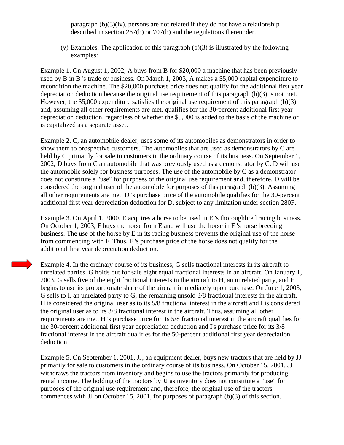paragraph (b)(3)(iv), persons are not related if they do not have a relationship described in section 267(b) or 707(b) and the regulations thereunder.

(v) Examples. The application of this paragraph (b)(3) is illustrated by the following examples:

Example 1. On August 1, 2002, A buys from B for \$20,000 a machine that has been previously used by B in B 's trade or business. On March 1, 2003, A makes a \$5,000 capital expenditure to recondition the machine. The \$20,000 purchase price does not qualify for the additional first year depreciation deduction because the original use requirement of this paragraph (b)(3) is not met. However, the \$5,000 expenditure satisfies the original use requirement of this paragraph (b)(3) and, assuming all other requirements are met, qualifies for the 30-percent additional first year depreciation deduction, regardless of whether the \$5,000 is added to the basis of the machine or is capitalized as a separate asset.

Example 2. C, an automobile dealer, uses some of its automobiles as demonstrators in order to show them to prospective customers. The automobiles that are used as demonstrators by C are held by C primarily for sale to customers in the ordinary course of its business. On September 1, 2002, D buys from C an automobile that was previously used as a demonstrator by C. D will use the automobile solely for business purposes. The use of the automobile by C as a demonstrator does not constitute a "use" for purposes of the original use requirement and, therefore, D will be considered the original user of the automobile for purposes of this paragraph (b)(3). Assuming all other requirements are met, D 's purchase price of the automobile qualifies for the 30-percent additional first year depreciation deduction for D, subject to any limitation under section 280F.

Example 3. On April 1, 2000, E acquires a horse to be used in E 's thoroughbred racing business. On October 1, 2003, F buys the horse from E and will use the horse in F 's horse breeding business. The use of the horse by E in its racing business prevents the original use of the horse from commencing with F. Thus, F 's purchase price of the horse does not qualify for the additional first year depreciation deduction.

Example 4. In the ordinary course of its business, G sells fractional interests in its aircraft to unrelated parties. G holds out for sale eight equal fractional interests in an aircraft. On January 1, 2003, G sells five of the eight fractional interests in the aircraft to H, an unrelated party, and H begins to use its proportionate share of the aircraft immediately upon purchase. On June 1, 2003, G sells to I, an unrelated party to G, the remaining unsold 3/8 fractional interests in the aircraft. H is considered the original user as to its 5/8 fractional interest in the aircraft and I is considered the original user as to its 3/8 fractional interest in the aircraft. Thus, assuming all other requirements are met, H 's purchase price for its 5/8 fractional interest in the aircraft qualifies for the 30-percent additional first year depreciation deduction and I's purchase price for its 3/8 fractional interest in the aircraft qualifies for the 50-percent additional first year depreciation deduction.

Example 5. On September 1, 2001, JJ, an equipment dealer, buys new tractors that are held by JJ primarily for sale to customers in the ordinary course of its business. On October 15, 2001, JJ withdraws the tractors from inventory and begins to use the tractors primarily for producing rental income. The holding of the tractors by JJ as inventory does not constitute a "use" for purposes of the original use requirement and, therefore, the original use of the tractors commences with JJ on October 15, 2001, for purposes of paragraph (b)(3) of this section.